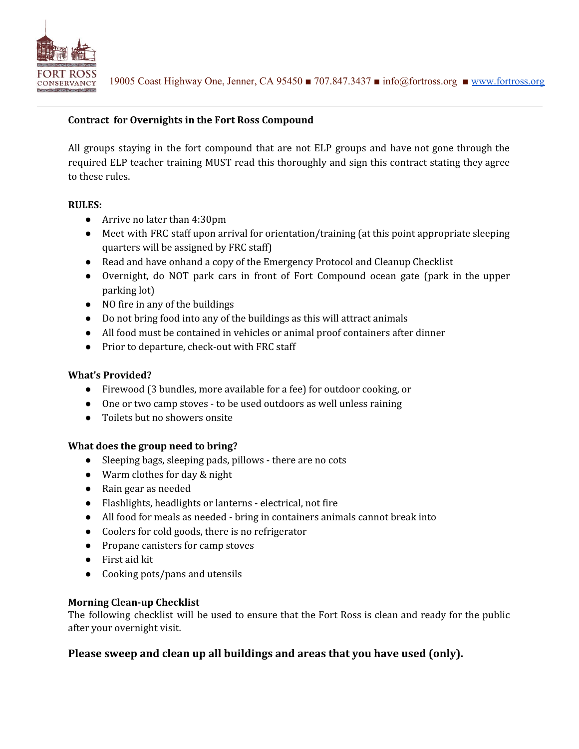

## **Contract for Overnights in the Fort Ross Compound**

All groups staying in the fort compound that are not ELP groups and have not gone through the required ELP teacher training MUST read this thoroughly and sign this contract stating they agree to these rules.

### **RULES:**

- Arrive no later than 4:30pm
- Meet with FRC staff upon arrival for orientation/training (at this point appropriate sleeping quarters will be assigned by FRC staff)
- Read and have onhand a copy of the Emergency Protocol and Cleanup Checklist
- Overnight, do NOT park cars in front of Fort Compound ocean gate (park in the upper parking lot)
- NO fire in any of the buildings
- Do not bring food into any of the buildings as this will attract animals
- All food must be contained in vehicles or animal proof containers after dinner
- Prior to departure, check-out with FRC staff

### **What's Provided?**

- Firewood (3 bundles, more available for a fee) for outdoor cooking, or
- One or two camp stoves to be used outdoors as well unless raining
- Toilets but no showers onsite

### **What does the group need to bring?**

- Sleeping bags, sleeping pads, pillows there are no cots
- Warm clothes for day & night
- Rain gear as needed
- Flashlights, headlights or lanterns electrical, not fire
- All food for meals as needed bring in containers animals cannot break into
- Coolers for cold goods, there is no refrigerator
- Propane canisters for camp stoves
- First aid kit
- Cooking pots/pans and utensils

### **Morning Clean-up Checklist**

The following checklist will be used to ensure that the Fort Ross is clean and ready for the public after your overnight visit.

# **Please sweep and clean up all buildings and areas that you have used (only).**